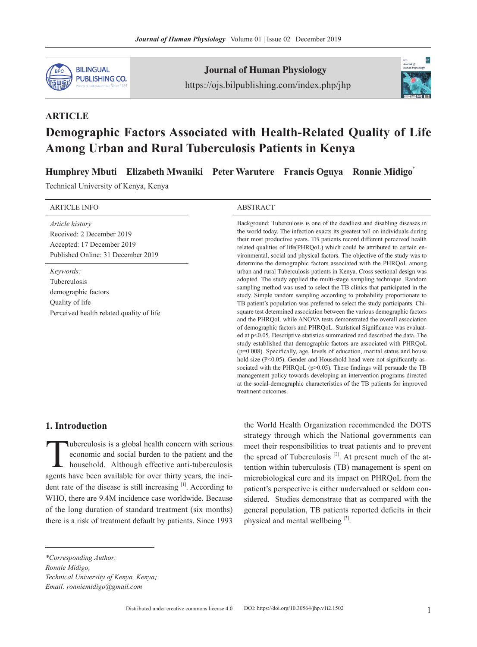

**ARTICLE**

Journal of Human Physiology https://ojs.bilpublishing.com/index.php/jhp



# **Demographic Factors Associated with Health-Related Quality of Life Among Urban and Rural Tuberculosis Patients in Kenya**

**Humphrey Mbuti Elizabeth Mwaniki Peter Warutere Francis Oguya Ronnie Midigo**\* 

Technical University of Kenya, Kenya

| <b>ARTICLE INFO</b>                                                                                                     | <b>ABSTRACT</b>                                                                                                                                                                                                                                                                                                                                                                                                                                                                                                                                                                                                                                                                                                                                                                                                                                                                                                                                                                                                                                                                                                 |  |  |  |  |  |
|-------------------------------------------------------------------------------------------------------------------------|-----------------------------------------------------------------------------------------------------------------------------------------------------------------------------------------------------------------------------------------------------------------------------------------------------------------------------------------------------------------------------------------------------------------------------------------------------------------------------------------------------------------------------------------------------------------------------------------------------------------------------------------------------------------------------------------------------------------------------------------------------------------------------------------------------------------------------------------------------------------------------------------------------------------------------------------------------------------------------------------------------------------------------------------------------------------------------------------------------------------|--|--|--|--|--|
| <i>Article history</i><br>Received: 2 December 2019<br>Accepted: 17 December 2019<br>Published Online: 31 December 2019 | Background: Tuberculosis is one of the deadliest and disabling diseases in<br>the world today. The infection exacts its greatest toll on individuals during<br>their most productive years. TB patients record different perceived health<br>related qualities of life(PHRQoL) which could be attributed to certain en-<br>vironmental, social and physical factors. The objective of the study was to<br>determine the demographic factors associated with the PHRQoL among                                                                                                                                                                                                                                                                                                                                                                                                                                                                                                                                                                                                                                    |  |  |  |  |  |
| Keywords:<br><b>Tuberculosis</b><br>demographic factors<br>Quality of life<br>Perceived health related quality of life  | urban and rural Tuberculosis patients in Kenya. Cross sectional design was<br>adopted. The study applied the multi-stage sampling technique. Random<br>sampling method was used to select the TB clinics that participated in the<br>study. Simple random sampling according to probability proportionate to<br>TB patient's population was preferred to select the study participants. Chi-<br>square test determined association between the various demographic factors<br>and the PHRQoL while ANOVA tests demonstrated the overall association<br>of demographic factors and PHRQoL. Statistical Significance was evaluat-<br>ed at $p<0.05$ . Descriptive statistics summarized and described the data. The<br>study established that demographic factors are associated with PHRQoL<br>$(p=0.008)$ . Specifically, age, levels of education, marital status and house<br>hold size (P<0.05). Gender and Household head were not significantly as-<br>sociated with the PHRQoL $(p>0.05)$ . These findings will persuade the TB<br>management policy towards developing an intervention programs directed |  |  |  |  |  |

treatment outcomes.

## **1. Introduction**

Tuberculosis is a global health concern with serious<br>economic and social burden to the patient and the<br>household. Although effective anti-tuberculosis<br>agents have been available for over thirty years, the incieconomic and social burden to the patient and the household. Although effective anti-tuberculosis agents have been available for over thirty years, the incident rate of the disease is still increasing  $[1]$ . According to WHO, there are 9.4M incidence case worldwide. Because of the long duration of standard treatment (six months) there is a risk of treatment default by patients. Since 1993

the World Health Organization recommended the DOTS strategy through which the National governments can meet their responsibilities to treat patients and to prevent the spread of Tuberculosis<sup>[2]</sup>. At present much of the attention within tuberculosis (TB) management is spent on microbiological cure and its impact on PHRQoL from the patient's perspective is either undervalued or seldom considered. Studies demonstrate that as compared with the general population, TB patients reported deficits in their physical and mental wellbeing [3].

at the social-demographic characteristics of the TB patients for improved

*\*Corresponding Author:*

*Ronnie Midigo, Technical University of Kenya, Kenya; Email: ronniemidigo@gmail.com*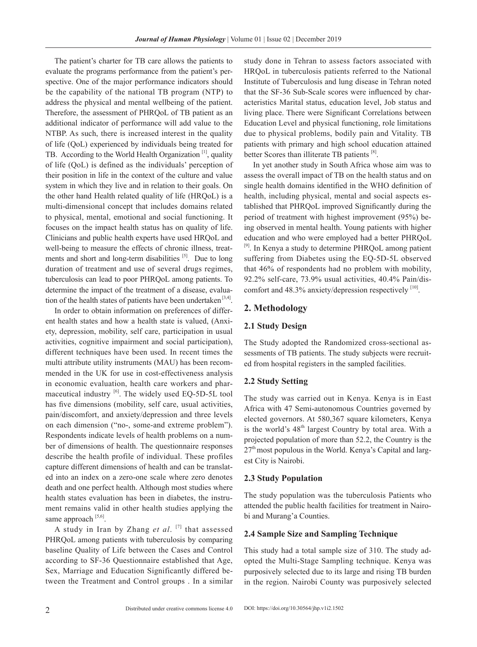The patient's charter for TB care allows the patients to evaluate the programs performance from the patient's perspective. One of the major performance indicators should be the capability of the national TB program (NTP) to address the physical and mental wellbeing of the patient. Therefore, the assessment of PHRQoL of TB patient as an additional indicator of performance will add value to the NTBP. As such, there is increased interest in the quality of life (QoL) experienced by individuals being treated for TB. According to the World Health Organization [1], quality of life (QoL) is defined as the individuals' perception of their position in life in the context of the culture and value system in which they live and in relation to their goals. On the other hand Health related quality of life (HRQoL) is a multi-dimensional concept that includes domains related to physical, mental, emotional and social functioning. It focuses on the impact health status has on quality of life. Clinicians and public health experts have used HRQoL and well-being to measure the effects of chronic illness, treatments and short and long-term disabilities [5]. Due to long duration of treatment and use of several drugs regimes, tuberculosis can lead to poor PHRQoL among patients. To determine the impact of the treatment of a disease, evaluation of the health states of patients have been undertaken  $[3,4]$ .

In order to obtain information on preferences of different health states and how a health state is valued, (Anxiety, depression, mobility, self care, participation in usual activities, cognitive impairment and social participation), different techniques have been used. In recent times the multi attribute utility instruments (MAU) has been recommended in the UK for use in cost-effectiveness analysis in economic evaluation, health care workers and pharmaceutical industry  $[6]$ . The widely used EQ-5D-5L tool has five dimensions (mobility, self care, usual activities, pain/discomfort, and anxiety/depression and three levels on each dimension ("no-, some-and extreme problem"). Respondents indicate levels of health problems on a number of dimensions of health. The questionnaire responses describe the health profile of individual. These profiles capture different dimensions of health and can be translated into an index on a zero-one scale where zero denotes death and one perfect health. Although most studies where health states evaluation has been in diabetes, the instrument remains valid in other health studies applying the same approach  $[5,6]$ .

A study in Iran by Zhang *et al*. [7] that assessed PHRQoL among patients with tuberculosis by comparing baseline Quality of Life between the Cases and Control according to SF-36 Questionnaire established that Age, Sex, Marriage and Education Significantly differed between the Treatment and Control groups . In a similar study done in Tehran to assess factors associated with HRQoL in tuberculosis patients referred to the National Institute of Tuberculosis and lung disease in Tehran noted that the SF-36 Sub-Scale scores were influenced by characteristics Marital status, education level, Job status and living place. There were Significant Correlations between Education Level and physical functioning, role limitations due to physical problems, bodily pain and Vitality. TB patients with primary and high school education attained better Scores than illiterate TB patients [8].

In yet another study in South Africa whose aim was to assess the overall impact of TB on the health status and on single health domains identified in the WHO definition of health, including physical, mental and social aspects established that PHRQoL improved Significantly during the period of treatment with highest improvement (95%) being observed in mental health. Young patients with higher education and who were employed had a better PHRQoL [9]. In Kenya a study to determine PHRQoL among patient suffering from Diabetes using the EQ-5D-5L observed that 46% of respondents had no problem with mobility, 92.2% self-care, 73.9% usual activities, 40.4% Pain/discomfort and  $48.3\%$  anxiety/depression respectively  $^{[10]}$ .

#### **2. Methodology**

#### **2.1 Study Design**

The Study adopted the Randomized cross-sectional assessments of TB patients. The study subjects were recruited from hospital registers in the sampled facilities.

#### **2.2 Study Setting**

The study was carried out in Kenya. Kenya is in East Africa with 47 Semi-autonomous Countries governed by elected governors. At 580,367 square kilometers, Kenya is the world's 48<sup>th</sup> largest Country by total area. With a projected population of more than 52.2, the Country is the  $27<sup>th</sup>$  most populous in the World. Kenya's Capital and largest City is Nairobi.

#### **2.3 Study Population**

The study population was the tuberculosis Patients who attended the public health facilities for treatment in Nairobi and Murang'a Counties.

#### **2.4 Sample Size and Sampling Technique**

This study had a total sample size of 310. The study adopted the Multi-Stage Sampling technique. Kenya was purposively selected due to its large and rising TB burden in the region. Nairobi County was purposively selected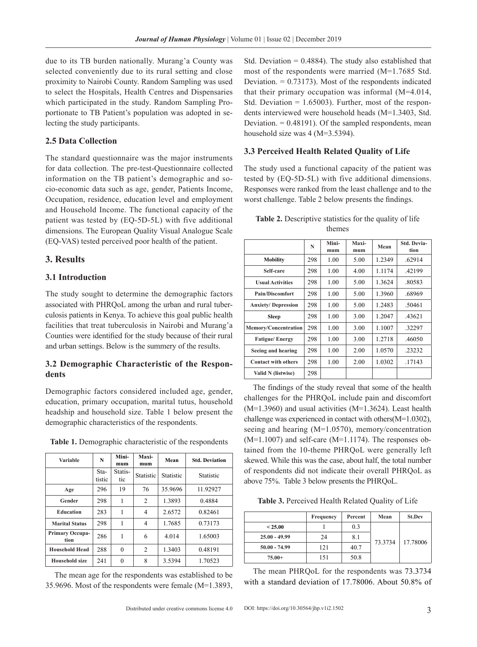due to its TB burden nationally. Murang'a County was selected conveniently due to its rural setting and close proximity to Nairobi County. Random Sampling was used to select the Hospitals, Health Centres and Dispensaries which participated in the study. Random Sampling Proportionate to TB Patient's population was adopted in selecting the study participants.

#### **2.5 Data Collection**

The standard questionnaire was the major instruments for data collection. The pre-test-Questionnaire collected information on the TB patient's demographic and socio-economic data such as age, gender, Patients Income, Occupation, residence, education level and employment and Household Income. The functional capacity of the patient was tested by (EQ-5D-5L) with five additional dimensions. The European Quality Visual Analogue Scale (EQ-VAS) tested perceived poor health of the patient.

## **3. Results**

#### **3.1 Introduction**

The study sought to determine the demographic factors associated with PHRQoL among the urban and rural tuberculosis patients in Kenya. To achieve this goal public health facilities that treat tuberculosis in Nairobi and Murang'a Counties were identified for the study because of their rural and urban settings. Below is the summery of the results.

## **3.2 Demographic Characteristic of the Respondents**

Demographic factors considered included age, gender, education, primary occupation, marital tutus, household headship and household size. Table 1 below present the demographic characteristics of the respondents.

| <b>Variable</b>         | N              | Mini-<br>mum   | Maxi-<br>mum     | Mean             | <b>Std. Deviation</b> |
|-------------------------|----------------|----------------|------------------|------------------|-----------------------|
|                         | Sta-<br>tistic | Statis-<br>tic | <b>Statistic</b> | <b>Statistic</b> | <b>Statistic</b>      |
| Age                     | 296            | 19             | 76               | 35.9696          | 11.92927              |
| Gender                  | 298            | 1              | 2                | 1.3893           | 0.4884                |
| <b>Education</b>        | 283            | 1              | 4                | 2.6572           | 0.82461               |
| <b>Marital Status</b>   | 298            | 1              | 4                | 1.7685           | 0.73173               |
| Primary Occupa-<br>tion | 286            | 1              | 6                | 4.014            | 1.65003               |
| <b>Household Head</b>   | 288            | $\theta$       | 2                | 1.3403           | 0.48191               |
| <b>Household size</b>   | 241            | $\theta$       | 8                | 3.5394           | 1.70523               |

**Table 1.** Demographic characteristic of the respondents

The mean age for the respondents was established to be 35.9696. Most of the respondents were female (M=1.3893,

Std. Deviation  $= 0.4884$ ). The study also established that most of the respondents were married (M=1.7685 Std. Deviation.  $= 0.73173$ . Most of the respondents indicated that their primary occupation was informal (M=4.014, Std. Deviation  $= 1.65003$ . Further, most of the respondents interviewed were household heads (M=1.3403, Std. Deviation.  $= 0.48191$ . Of the sampled respondents, mean household size was 4 (M=3.5394).

#### **3.3 Perceived Health Related Quality of Life**

The study used a functional capacity of the patient was tested by (EQ-5D-5L) with five additional dimensions. Responses were ranked from the least challenge and to the worst challenge. Table 2 below presents the findings.

| <b>Table 2.</b> Descriptive statistics for the quality of life |        |  |  |
|----------------------------------------------------------------|--------|--|--|
|                                                                | themes |  |  |

|                             | N   | Mini-<br>mum | Maxi-<br>mum | Mean   | <b>Std. Devia-</b><br>tion |
|-----------------------------|-----|--------------|--------------|--------|----------------------------|
| <b>Mobility</b>             | 298 | 1.00         | 5.00         | 1.2349 | .62914                     |
| Self-care                   | 298 | 1.00         | 4.00         | 1.1174 | .42199                     |
| <b>Usual Activities</b>     | 298 | 1.00         | 5.00         | 1.3624 | .80583                     |
| <b>Pain/Discomfort</b>      | 298 | 1.00         | 5.00         | 1.3960 | .68969                     |
| <b>Anxiety/Depression</b>   | 298 | 1.00         | 5.00         | 1.2483 | .50461                     |
| <b>Sleep</b>                | 298 | 1.00         | 3.00         | 1.2047 | .43621                     |
| <b>Memory/Concentration</b> | 298 | 1.00         | 3.00         | 1.1007 | .32297                     |
| <b>Fatigue/Energy</b>       | 298 | 1.00         | 3.00         | 1.2718 | .46050                     |
| Seeing and hearing          | 298 | 1.00         | 2.00         | 1.0570 | 23232                      |
| <b>Contact with others</b>  | 298 | 1.00         | 2.00         | 1.0302 | .17143                     |
| Valid N (listwise)          | 298 |              |              |        |                            |

The findings of the study reveal that some of the health challenges for the PHRQoL include pain and discomfort (M=1.3960) and usual activities (M=1.3624). Least health challenge was experienced in contact with others(M=1.0302), seeing and hearing (M=1.0570), memory/concentration  $(M=1.1007)$  and self-care  $(M=1.1174)$ . The responses obtained from the 10-theme PHRQoL were generally left skewed. While this was the case, about half, the total number of respondents did not indicate their overall PHRQoL as above 75%. Table 3 below presents the PHRQoL.

**Table 3.** Perceived Health Related Quality of Life

|                 | Frequency | Percent | Mean    | <b>St.Dev</b> |
|-----------------|-----------|---------|---------|---------------|
| < 25.00         |           | 0.3     |         | 17.78006      |
| $25.00 - 49.99$ | 24        | 8.1     |         |               |
| $50.00 - 74.99$ | 121       | 40.7    | 73.3734 |               |
| $75.00+$        | 151       | 50.8    |         |               |

The mean PHRQoL for the respondents was 73.3734 with a standard deviation of 17.78006. About 50.8% of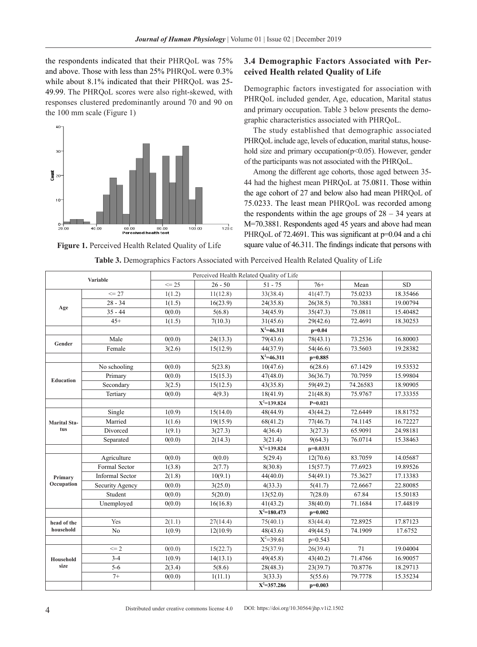the respondents indicated that their PHRQoL was 75% and above. Those with less than 25% PHRQoL were 0.3% while about 8.1% indicated that their PHROoL was 25-49.99. The PHRQoL scores were also right-skewed, with responses clustered predominantly around 70 and 90 on the 100 mm scale (Figure 1)



**Figure 1.** Perceived Health Related Quality of Life

### **3.4 Demographic Factors Associated with Perceived Health related Quality of Life**

Demographic factors investigated for association with PHRQoL included gender, Age, education, Marital status and primary occupation. Table 3 below presents the demographic characteristics associated with PHRQoL.

The study established that demographic associated PHRQoL include age, levels of education, marital status, household size and primary occupation( $p$ <0.05). However, gender of the participants was not associated with the PHRQoL.

Among the different age cohorts, those aged between 35- 44 had the highest mean PHRQoL at 75.0811. Those within the age cohort of 27 and below also had mean PHRQoL of 75.0233. The least mean PHRQoL was recorded among the respondents within the age groups of  $28 - 34$  years at M=70.3881. Respondents aged 45 years and above had mean PHRQoL of 72.4691. This was significant at  $p=0.04$  and a chi square value of 46.311. The findings indicate that persons with

|                     |                        |           |           | Perceived Health Related Ouality of Life |            |          |           |
|---------------------|------------------------|-----------|-----------|------------------------------------------|------------|----------|-----------|
| <b>Variable</b>     |                        | $\leq$ 25 | $26 - 50$ | $51 - 75$                                | $76+$      | Mean     | <b>SD</b> |
|                     | $\leq$ 27              | 1(1.2)    | 11(12.8)  | 33(38.4)                                 | 41(47.7)   | 75.0233  | 18.35466  |
|                     | $28 - 34$              | 1(1.5)    | 16(23.9)  | 24(35.8)                                 | 26(38.5)   | 70.3881  | 19.00794  |
| Age                 | $35 - 44$              | 0(0.0)    | 5(6.8)    | 34(45.9)                                 | 35(47.3)   | 75.0811  | 15.40482  |
|                     | $45+$                  | 1(1.5)    | 7(10.3)   | 31(45.6)                                 | 29(42.6)   | 72.4691  | 18.30253  |
|                     |                        |           |           | $X^2=46.311$                             | $p=0.04$   |          |           |
| Gender              | Male                   | 0(0.0)    | 24(13.3)  | 79(43.6)                                 | 78(43.1)   | 73.2536  | 16.80003  |
|                     | Female                 | 3(2.6)    | 15(12.9)  | 44(37.9)                                 | 54(46.6)   | 73.5603  | 19.28382  |
|                     |                        |           |           | $X^2 = 46.311$                           | $p=0.885$  |          |           |
|                     | No schooling           | 0(0.0)    | 5(23.8)   | 10(47.6)                                 | 6(28.6)    | 67.1429  | 19.53532  |
| <b>Education</b>    | Primary                | 0(0.0)    | 15(15.3)  | 47(48.0)                                 | 36(36.7)   | 70.7959  | 15.99804  |
|                     | Secondary              | 3(2.5)    | 15(12.5)  | 43(35.8)                                 | 59(49.2)   | 74.26583 | 18.90905  |
|                     | Tertiary               | 0(0.0)    | 4(9.3)    | 18(41.9)                                 | 21(48.8)   | 75.9767  | 17.33355  |
|                     |                        |           |           | $X^2=139.824$                            | $P=0.021$  |          |           |
|                     | Single                 | 1(0.9)    | 15(14.0)  | 48(44.9)                                 | 43(44.2)   | 72.6449  | 18.81752  |
| <b>Marital Sta-</b> | Married                | 1(1.6)    | 19(15.9)  | 68(41.2)                                 | 77(46.7)   | 74.1145  | 16.72227  |
| tus                 | Divorced               | 1(9.1)    | 3(27.3)   | 4(36.4)                                  | 3(27.3)    | 65.9091  | 24.98181  |
|                     | Separated              | 0(0.0)    | 2(14.3)   | 3(21.4)                                  | 9(64.3)    | 76.0714  | 15.38463  |
|                     |                        |           |           | $X^2=139.824$                            | $p=0.0331$ |          |           |
|                     | Agriculture            | 0(0.0)    | 0(0.0)    | 5(29.4)                                  | 12(70.6)   | 83.7059  | 14.05687  |
|                     | Formal Sector          | 1(3.8)    | 2(7.7)    | 8(30.8)                                  | 15(57.7)   | 77.6923  | 19.89526  |
| Primary             | <b>Informal Sector</b> | 2(1.8)    | 10(9.1)   | 44(40.0)                                 | 54(49.1)   | 75.3627  | 17.13383  |
| Occupation          | Security Agency        | 0(0.0)    | 3(25.0)   | 4(33.3)                                  | 5(41.7)    | 72.6667  | 22.80085  |
|                     | Student                | 0(0.0)    | 5(20.0)   | 13(52.0)                                 | 7(28.0)    | 67.84    | 15.50183  |
|                     | Unemployed             | 0(0.0)    | 16(16.8)  | 41(43.2)                                 | 38(40.0)   | 71.1684  | 17.44819  |
|                     |                        |           |           | $X^2=180.473$                            | $p=0.002$  |          |           |
| head of the         | Yes                    | 2(1.1)    | 27(14.4)  | 75(40.1)                                 | 83(44.4)   | 72.8925  | 17.87123  |
| household           | No                     | 1(0.9)    | 12(10.9)  | 48(43.6)                                 | 49(44.5)   | 74.1909  | 17.6752   |
|                     |                        |           |           | $X^2=39.61$                              | $p=0.543$  |          |           |
|                     | $\leq$ 2               | 0(0.0)    | 15(22.7)  | 25(37.9)                                 | 26(39.4)   | 71       | 19.04004  |
| Household           | $3 - 4$                | 1(0.9)    | 14(13.1)  | 49(45.8)                                 | 43(40.2)   | 71.4766  | 16.90057  |
| size                | $5 - 6$                | 2(3.4)    | 5(8.6)    | 28(48.3)                                 | 23(39.7)   | 70.8776  | 18.29713  |
|                     | $7+$                   | 0(0.0)    | 1(11.1)   | 3(33.3)                                  | 5(55.6)    | 79.7778  | 15.35234  |
|                     |                        |           |           | $X^2 = 357.286$                          | $p=0.003$  |          |           |

**Table 3.** Demographics Factors Associated with Perceived Health Related Quality of Life

DOI: https://doi.org/10.30564/jhp.v1i2.1502

Distributed under creative commons license 4.0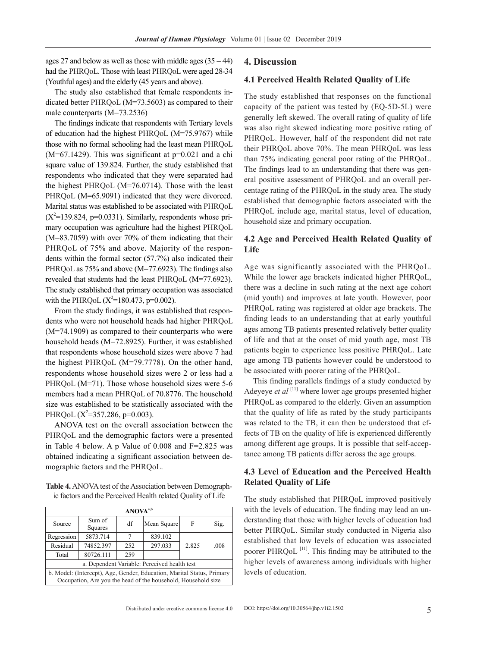ages 27 and below as well as those with middle ages  $(35 - 44)$ had the PHRQoL. Those with least PHRQoL were aged 28-34 (Youthful ages) and the elderly (45 years and above).

The study also established that female respondents indicated better PHRQoL (M=73.5603) as compared to their male counterparts (M=73.2536)

The findings indicate that respondents with Tertiary levels of education had the highest PHRQoL (M=75.9767) while those with no formal schooling had the least mean PHRQoL  $(M=67.1429)$ . This was significant at  $p=0.021$  and a chi square value of 139.824. Further, the study established that respondents who indicated that they were separated had the highest PHRQoL (M=76.0714). Those with the least PHRQoL (M=65.9091) indicated that they were divorced. Marital status was established to be associated with PHRQoL  $(X^2=139.824, p=0.0331)$ . Similarly, respondents whose primary occupation was agriculture had the highest PHRQoL (M=83.7059) with over 70% of them indicating that their PHRQoL of 75% and above. Majority of the respondents within the formal sector (57.7%) also indicated their PHRQoL as  $75\%$  and above (M=77.6923). The findings also revealed that students had the least PHRQoL (M=77.6923). The study established that primary occupation was associated with the PHRQoL  $(X^2=180.473, p=0.002)$ .

From the study findings, it was established that respondents who were not household heads had higher PHRQoL (M=74.1909) as compared to their counterparts who were household heads (M=72.8925). Further, it was established that respondents whose household sizes were above 7 had the highest PHRQoL (M=79.7778). On the other hand, respondents whose household sizes were 2 or less had a PHRQoL (M=71). Those whose household sizes were 5-6 members had a mean PHRQoL of 70.8776. The household size was established to be statistically associated with the PHRQoL  $(X^2=357.286, p=0.003)$ .

ANOVA test on the overall association between the PHRQoL and the demographic factors were a presented in Table 4 below. A p Value of  $0.008$  and  $F=2.825$  was obtained indicating a significant association between demographic factors and the PHRQoL.

**Table 4.** ANOVA test of the Association between Demographic factors and the Perceived Health related Quality of Life

| ANOVA <sup>a,b</sup>                                                   |                   |     |             |       |      |  |  |
|------------------------------------------------------------------------|-------------------|-----|-------------|-------|------|--|--|
| Source                                                                 | Sum of<br>Squares | df  | Mean Square |       | Sig. |  |  |
| Regression                                                             | 5873.714          | 7   | 839.102     |       |      |  |  |
| Residual                                                               | 74852.397         | 252 | 297.033     | 2.825 | .008 |  |  |
| Total                                                                  | 80726.111         | 259 |             |       |      |  |  |
| a. Dependent Variable: Perceived health test                           |                   |     |             |       |      |  |  |
| b. Model: (Intercept), Age, Gender, Education, Marital Status, Primary |                   |     |             |       |      |  |  |
| Occupation, Are you the head of the household, Household size          |                   |     |             |       |      |  |  |

#### **4. Discussion**

### **4.1 Perceived Health Related Quality of Life**

The study established that responses on the functional capacity of the patient was tested by (EQ-5D-5L) were generally left skewed. The overall rating of quality of life was also right skewed indicating more positive rating of PHRQoL. However, half of the respondent did not rate their PHRQoL above 70%. The mean PHRQoL was less than 75% indicating general poor rating of the PHRQoL. The findings lead to an understanding that there was general positive assessment of PHRQoL and an overall percentage rating of the PHRQoL in the study area. The study established that demographic factors associated with the PHRQoL include age, marital status, level of education, household size and primary occupation.

## **4.2 Age and Perceived Health Related Quality of Life**

Age was significantly associated with the PHRQoL. While the lower age brackets indicated higher PHRQoL, there was a decline in such rating at the next age cohort (mid youth) and improves at late youth. However, poor PHRQoL rating was registered at older age brackets. The finding leads to an understanding that at early youthful ages among TB patients presented relatively better quality of life and that at the onset of mid youth age, most TB patients begin to experience less positive PHRQoL. Late age among TB patients however could be understood to be associated with poorer rating of the PHRQoL.

This finding parallels findings of a study conducted by Adeyeye *et al*<sup>[11]</sup> where lower age groups presented higher PHRQoL as compared to the elderly. Given an assumption that the quality of life as rated by the study participants was related to the TB, it can then be understood that effects of TB on the quality of life is experienced differently among different age groups. It is possible that self-acceptance among TB patients differ across the age groups.

### **4.3 Level of Education and the Perceived Health Related Quality of Life**

The study established that PHRQoL improved positively with the levels of education. The finding may lead an understanding that those with higher levels of education had better PHRQoL. Similar study conducted in Nigeria also established that low levels of education was associated poorer PHRQoL<sup>[11]</sup>. This finding may be attributed to the higher levels of awareness among individuals with higher levels of education.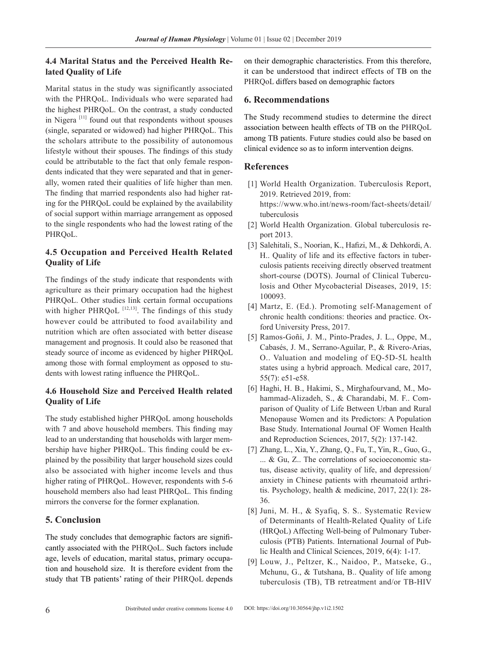# **4.4 Marital Status and the Perceived Health Related Quality of Life**

Marital status in the study was significantly associated with the PHRQoL. Individuals who were separated had the highest PHRQoL. On the contrast, a study conducted in Nigera [11] found out that respondents without spouses (single, separated or widowed) had higher PHRQoL. This the scholars attribute to the possibility of autonomous lifestyle without their spouses. The findings of this study could be attributable to the fact that only female respondents indicated that they were separated and that in generally, women rated their qualities of life higher than men. The finding that married respondents also had higher rating for the PHRQoL could be explained by the availability of social support within marriage arrangement as opposed to the single respondents who had the lowest rating of the PHRQoL.

# **4.5 Occupation and Perceived Health Related Quality of Life**

The findings of the study indicate that respondents with agriculture as their primary occupation had the highest PHRQoL. Other studies link certain formal occupations with higher PHRQoL  $^{[12,13]}$ . The findings of this study however could be attributed to food availability and nutrition which are often associated with better disease management and prognosis. It could also be reasoned that steady source of income as evidenced by higher PHRQoL among those with formal employment as opposed to students with lowest rating influence the PHRQoL.

# **4.6 Household Size and Perceived Health related Quality of Life**

The study established higher PHRQoL among households with 7 and above household members. This finding may lead to an understanding that households with larger membership have higher PHRQoL. This finding could be explained by the possibility that larger household sizes could also be associated with higher income levels and thus higher rating of PHRQoL. However, respondents with 5-6 household members also had least PHRQoL. This finding mirrors the converse for the former explanation.

# **5. Conclusion**

The study concludes that demographic factors are significantly associated with the PHRQoL. Such factors include age, levels of education, marital status, primary occupation and household size. It is therefore evident from the study that TB patients' rating of their PHRQoL depends on their demographic characteristics. From this therefore, it can be understood that indirect effects of TB on the PHRQoL differs based on demographic factors

# **6. Recommendations**

The Study recommend studies to determine the direct association between health effects of TB on the PHRQoL among TB patients. Future studies could also be based on clinical evidence so as to inform intervention deigns.

# **References**

- [1] World Health Organization. Tuberculosis Report, 2019. Retrieved 2019, from: https://www.who.int/news-room/fact-sheets/detail/ tuberculosis
- [2] World Health Organization. Global tuberculosis report 2013.
- [3] Salehitali, S., Noorian, K., Hafizi, M., & Dehkordi, A. H.. Quality of life and its effective factors in tuberculosis patients receiving directly observed treatment short-course (DOTS). Journal of Clinical Tuberculosis and Other Mycobacterial Diseases, 2019, 15: 100093.
- [4] Martz, E. (Ed.). Promoting self-Management of chronic health conditions: theories and practice. Oxford University Press, 2017.
- [5] Ramos-Goñi, J. M., Pinto-Prades, J. L., Oppe, M., Cabasés, J. M., Serrano-Aguilar, P., & Rivero-Arias, O.. Valuation and modeling of EQ-5D-5L health states using a hybrid approach. Medical care, 2017, 55(7): e51-e58.
- [6] Haghi, H. B., Hakimi, S., Mirghafourvand, M., Mohammad-Alizadeh, S., & Charandabi, M. F.. Comparison of Quality of Life Between Urban and Rural Menopause Women and its Predictors: A Population Base Study. International Journal OF Women Health and Reproduction Sciences, 2017, 5(2): 137-142.
- [7] Zhang, L., Xia, Y., Zhang, Q., Fu, T., Yin, R., Guo, G., ... & Gu, Z.. The correlations of socioeconomic status, disease activity, quality of life, and depression/ anxiety in Chinese patients with rheumatoid arthritis. Psychology, health & medicine, 2017, 22(1): 28- 36.
- [8] Juni, M. H., & Syafiq, S. S.. Systematic Review of Determinants of Health-Related Quality of Life (HRQoL) Affecting Well-being of Pulmonary Tuberculosis (PTB) Patients. International Journal of Public Health and Clinical Sciences, 2019, 6(4): 1-17.
- [9] Louw, J., Peltzer, K., Naidoo, P., Matseke, G., Mchunu, G., & Tutshana, B.. Quality of life among tuberculosis (TB), TB retreatment and/or TB-HIV